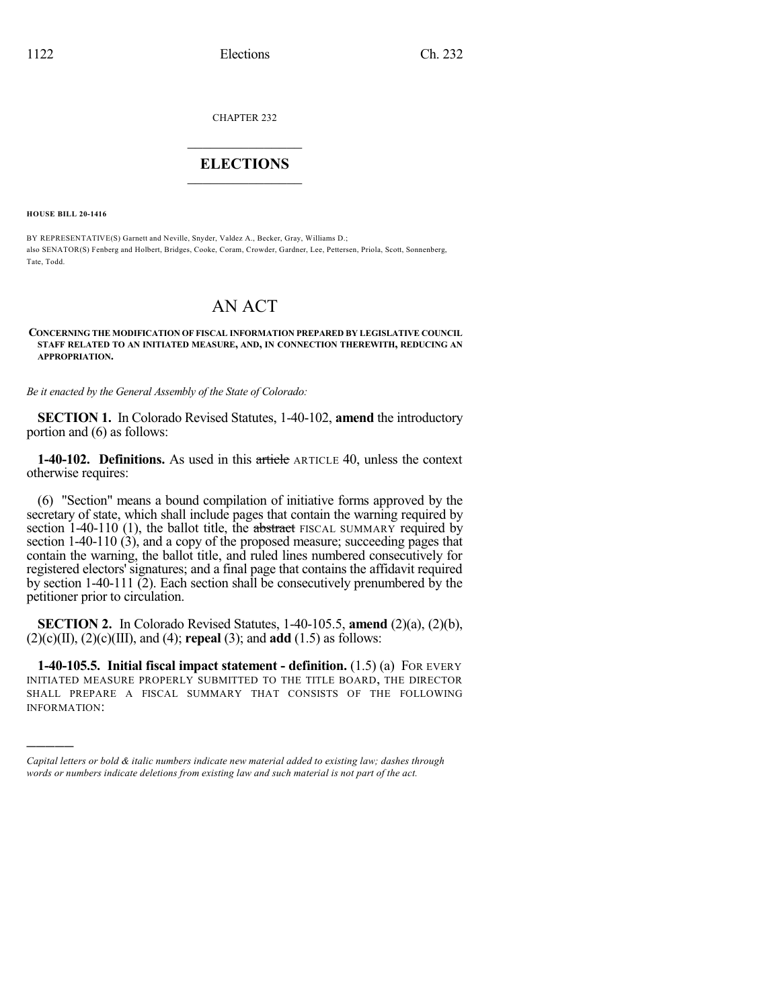CHAPTER 232

## $\mathcal{L}_\text{max}$  . The set of the set of the set of the set of the set of the set of the set of the set of the set of the set of the set of the set of the set of the set of the set of the set of the set of the set of the set **ELECTIONS**  $\_$

**HOUSE BILL 20-1416**

)))))

BY REPRESENTATIVE(S) Garnett and Neville, Snyder, Valdez A., Becker, Gray, Williams D.; also SENATOR(S) Fenberg and Holbert, Bridges, Cooke, Coram, Crowder, Gardner, Lee, Pettersen, Priola, Scott, Sonnenberg, Tate, Todd.

# AN ACT

#### **CONCERNING THE MODIFICATION OF FISCAL INFORMATION PREPARED BY LEGISLATIVE COUNCIL STAFF RELATED TO AN INITIATED MEASURE, AND, IN CONNECTION THEREWITH, REDUCING AN APPROPRIATION.**

*Be it enacted by the General Assembly of the State of Colorado:*

**SECTION 1.** In Colorado Revised Statutes, 1-40-102, **amend** the introductory portion and (6) as follows:

**1-40-102. Definitions.** As used in this article ARTICLE 40, unless the context otherwise requires:

(6) "Section" means a bound compilation of initiative forms approved by the secretary of state, which shall include pages that contain the warning required by section 1-40-110 (1), the ballot title, the abstract FISCAL SUMMARY required by section 1-40-110 (3), and a copy of the proposed measure; succeeding pages that contain the warning, the ballot title, and ruled lines numbered consecutively for registered electors' signatures; and a final page that contains the affidavit required by section 1-40-111 (2). Each section shall be consecutively prenumbered by the petitioner prior to circulation.

**SECTION 2.** In Colorado Revised Statutes, 1-40-105.5, **amend** (2)(a), (2)(b), (2)(c)(II), (2)(c)(III), and (4); **repeal** (3); and **add** (1.5) as follows:

**1-40-105.5. Initial fiscal impact statement - definition.** (1.5) (a) FOR EVERY INITIATED MEASURE PROPERLY SUBMITTED TO THE TITLE BOARD, THE DIRECTOR SHALL PREPARE A FISCAL SUMMARY THAT CONSISTS OF THE FOLLOWING INFORMATION:

*Capital letters or bold & italic numbers indicate new material added to existing law; dashes through words or numbers indicate deletions from existing law and such material is not part of the act.*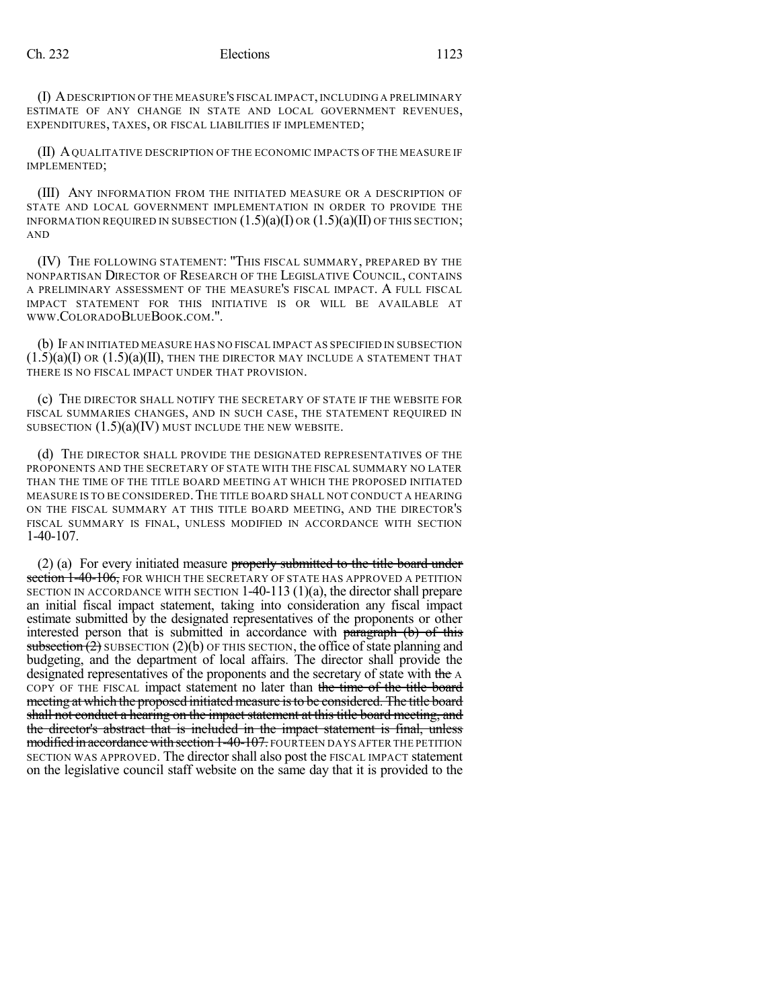(I) ADESCRIPTION OF THE MEASURE'S FISCAL IMPACT, INCLUDING A PRELIMINARY ESTIMATE OF ANY CHANGE IN STATE AND LOCAL GOVERNMENT REVENUES, EXPENDITURES, TAXES, OR FISCAL LIABILITIES IF IMPLEMENTED;

(II) AQUALITATIVE DESCRIPTION OF THE ECONOMIC IMPACTS OF THE MEASURE IF IMPLEMENTED;

(III) ANY INFORMATION FROM THE INITIATED MEASURE OR A DESCRIPTION OF STATE AND LOCAL GOVERNMENT IMPLEMENTATION IN ORDER TO PROVIDE THE INFORMATION REQUIRED IN SUBSECTION  $(1.5)(a)(I)$  OR  $(1.5)(a)(II)$  OF THIS SECTION; AND

(IV) THE FOLLOWING STATEMENT: "THIS FISCAL SUMMARY, PREPARED BY THE NONPARTISAN DIRECTOR OF RESEARCH OF THE LEGISLATIVE COUNCIL, CONTAINS A PRELIMINARY ASSESSMENT OF THE MEASURE'S FISCAL IMPACT. A FULL FISCAL IMPACT STATEMENT FOR THIS INITIATIVE IS OR WILL BE AVAILABLE AT WWW.COLORADOBLUEBOOK.COM.".

(b) IF AN INITIATED MEASURE HAS NO FISCAL IMPACT AS SPECIFIED IN SUBSECTION  $(1.5)(a)(I)$  OR  $(1.5)(a)(II)$ , THEN THE DIRECTOR MAY INCLUDE A STATEMENT THAT THERE IS NO FISCAL IMPACT UNDER THAT PROVISION.

(c) THE DIRECTOR SHALL NOTIFY THE SECRETARY OF STATE IF THE WEBSITE FOR FISCAL SUMMARIES CHANGES, AND IN SUCH CASE, THE STATEMENT REQUIRED IN SUBSECTION  $(1.5)(a)(IV)$  must include the new website.

(d) THE DIRECTOR SHALL PROVIDE THE DESIGNATED REPRESENTATIVES OF THE PROPONENTS AND THE SECRETARY OF STATE WITH THE FISCAL SUMMARY NO LATER THAN THE TIME OF THE TITLE BOARD MEETING AT WHICH THE PROPOSED INITIATED MEASURE IS TO BE CONSIDERED.THE TITLE BOARD SHALL NOT CONDUCT A HEARING ON THE FISCAL SUMMARY AT THIS TITLE BOARD MEETING, AND THE DIRECTOR'S FISCAL SUMMARY IS FINAL, UNLESS MODIFIED IN ACCORDANCE WITH SECTION 1-40-107.

(2) (a) For every initiated measure properly submitted to the title board under section 1-40-106, FOR WHICH THE SECRETARY OF STATE HAS APPROVED A PETITION SECTION IN ACCORDANCE WITH SECTION 1-40-113 (1)(a), the director shall prepare an initial fiscal impact statement, taking into consideration any fiscal impact estimate submitted by the designated representatives of the proponents or other interested person that is submitted in accordance with paragraph (b) of this subsection  $(2)$  SUBSECTION  $(2)(b)$  OF THIS SECTION, the office of state planning and budgeting, and the department of local affairs. The director shall provide the designated representatives of the proponents and the secretary of state with the A COPY OF THE FISCAL impact statement no later than the time of the title board meeting at which the proposed initiated measure isto be considered. The title board shall not conduct a hearing on the impact statement at this title board meeting, and the director's abstract that is included in the impact statement is final, unless modified in accordance with section 1-40-107. FOURTEEN DAYS AFTER THE PETITION SECTION WAS APPROVED. The director shall also post the FISCAL IMPACT statement on the legislative council staff website on the same day that it is provided to the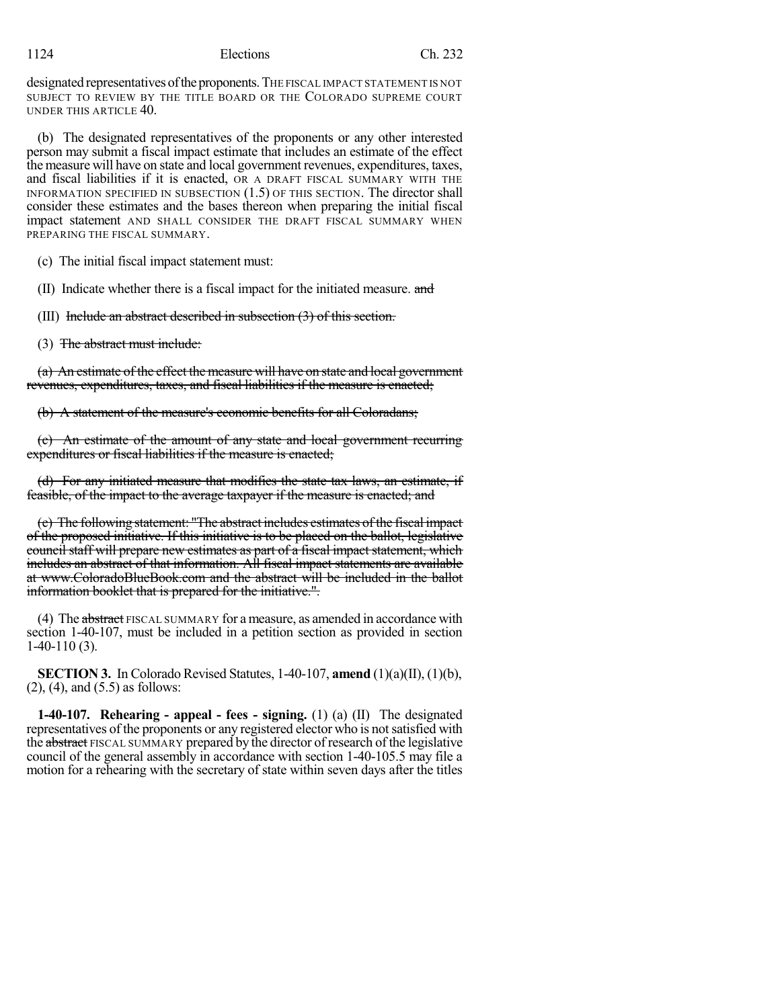| 124 |  |  |
|-----|--|--|
|     |  |  |

## 1124 Elections Ch. 232

designated representatives of the proponents. THE FISCAL IMPACT STATEMENT IS NOT SUBJECT TO REVIEW BY THE TITLE BOARD OR THE COLORADO SUPREME COURT UNDER THIS ARTICLE 40.

(b) The designated representatives of the proponents or any other interested person may submit a fiscal impact estimate that includes an estimate of the effect the measure will have on state and local government revenues, expenditures, taxes, and fiscal liabilities if it is enacted, OR A DRAFT FISCAL SUMMARY WITH THE INFORMATION SPECIFIED IN SUBSECTION (1.5) OF THIS SECTION. The director shall consider these estimates and the bases thereon when preparing the initial fiscal impact statement AND SHALL CONSIDER THE DRAFT FISCAL SUMMARY WHEN PREPARING THE FISCAL SUMMARY.

(c) The initial fiscal impact statement must:

(II) Indicate whether there is a fiscal impact for the initiated measure. and

(III) Include an abstract described in subsection (3) of this section.

(3) The abstract must include:

(a) An estimate of the effect the measure will have on state and local government revenues, expenditures, taxes, and fiscal liabilities if the measure is enacted;

(b) A statement of the measure's economic benefits for all Coloradans;

(c) An estimate of the amount of any state and local government recurring expenditures or fiscal liabilities if the measure is enacted;

(d) For any initiated measure that modifies the state tax laws, an estimate, if feasible, of the impact to the average taxpayer if the measure is enacted; and

(e) The following statement: "The abstract includes estimates of the fiscal impact of the proposed initiative. If this initiative is to be placed on the ballot, legislative council staff will prepare new estimates as part of a fiscal impact statement, which includes an abstract of that information. All fiscal impact statements are available at www.ColoradoBlueBook.com and the abstract will be included in the ballot information booklet that is prepared for the initiative.".

(4) The abstract FISCAL SUMMARY for a measure, as amended in accordance with section 1-40-107, must be included in a petition section as provided in section 1-40-110 (3).

**SECTION 3.** In Colorado Revised Statutes, 1-40-107, **amend** (1)(a)(II), (1)(b), (2), (4), and (5.5) as follows:

**1-40-107. Rehearing - appeal - fees - signing.** (1) (a) (II) The designated representatives of the proponents or any registered elector who is not satisfied with the abstract FISCAL SUMMARY prepared by the director of research of the legislative council of the general assembly in accordance with section 1-40-105.5 may file a motion for a rehearing with the secretary of state within seven days after the titles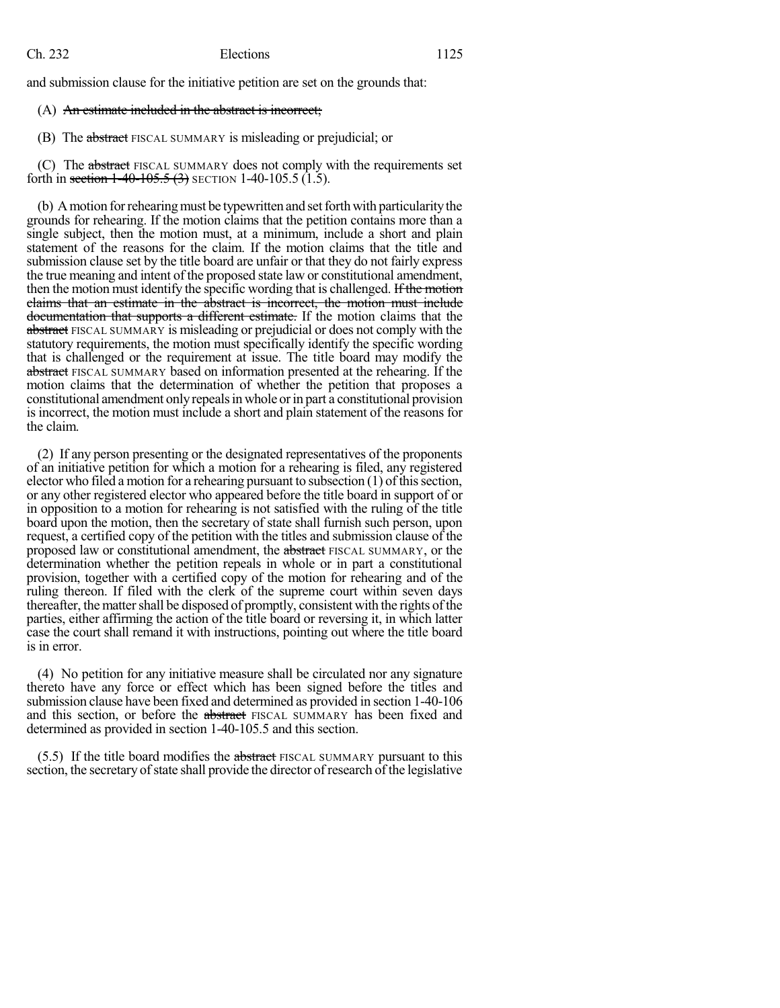and submission clause for the initiative petition are set on the grounds that:

#### (A) An estimate included in the abstract is incorrect;

(B) The abstract FISCAL SUMMARY is misleading or prejudicial; or

(C) The abstract FISCAL SUMMARY does not comply with the requirements set forth in section  $1-40-105.5(3)$  SECTION 1-40-105.5 (1.5).

(b) A motion for rehearing must be typewritten and set forth with particularity the grounds for rehearing. If the motion claims that the petition contains more than a single subject, then the motion must, at a minimum, include a short and plain statement of the reasons for the claim. If the motion claims that the title and submission clause set by the title board are unfair or that they do not fairly express the true meaning and intent of the proposed state law or constitutional amendment, then the motion must identify the specific wording that is challenged. If the motion claims that an estimate in the abstract is incorrect, the motion must include documentation that supports a different estimate. If the motion claims that the abstract FISCAL SUMMARY is misleading or prejudicial or does not comply with the statutory requirements, the motion must specifically identify the specific wording that is challenged or the requirement at issue. The title board may modify the abstract FISCAL SUMMARY based on information presented at the rehearing. If the motion claims that the determination of whether the petition that proposes a constitutional amendment onlyrepealsin whole orin part a constitutional provision is incorrect, the motion must include a short and plain statement of the reasons for the claim.

(2) If any person presenting or the designated representatives of the proponents of an initiative petition for which a motion for a rehearing is filed, any registered elector who filed a motion for a rehearing pursuant to subsection  $(1)$  of this section, or any other registered elector who appeared before the title board in support of or in opposition to a motion for rehearing is not satisfied with the ruling of the title board upon the motion, then the secretary of state shall furnish such person, upon request, a certified copy of the petition with the titles and submission clause of the proposed law or constitutional amendment, the abstract FISCAL SUMMARY, or the determination whether the petition repeals in whole or in part a constitutional provision, together with a certified copy of the motion for rehearing and of the ruling thereon. If filed with the clerk of the supreme court within seven days thereafter, the matter shall be disposed of promptly, consistent with the rights of the parties, either affirming the action of the title board or reversing it, in which latter case the court shall remand it with instructions, pointing out where the title board is in error.

(4) No petition for any initiative measure shall be circulated nor any signature thereto have any force or effect which has been signed before the titles and submission clause have been fixed and determined as provided in section 1-40-106 and this section, or before the abstract FISCAL SUMMARY has been fixed and determined as provided in section 1-40-105.5 and this section.

 $(5.5)$  If the title board modifies the abstract FISCAL SUMMARY pursuant to this section, the secretary of state shall provide the director of research of the legislative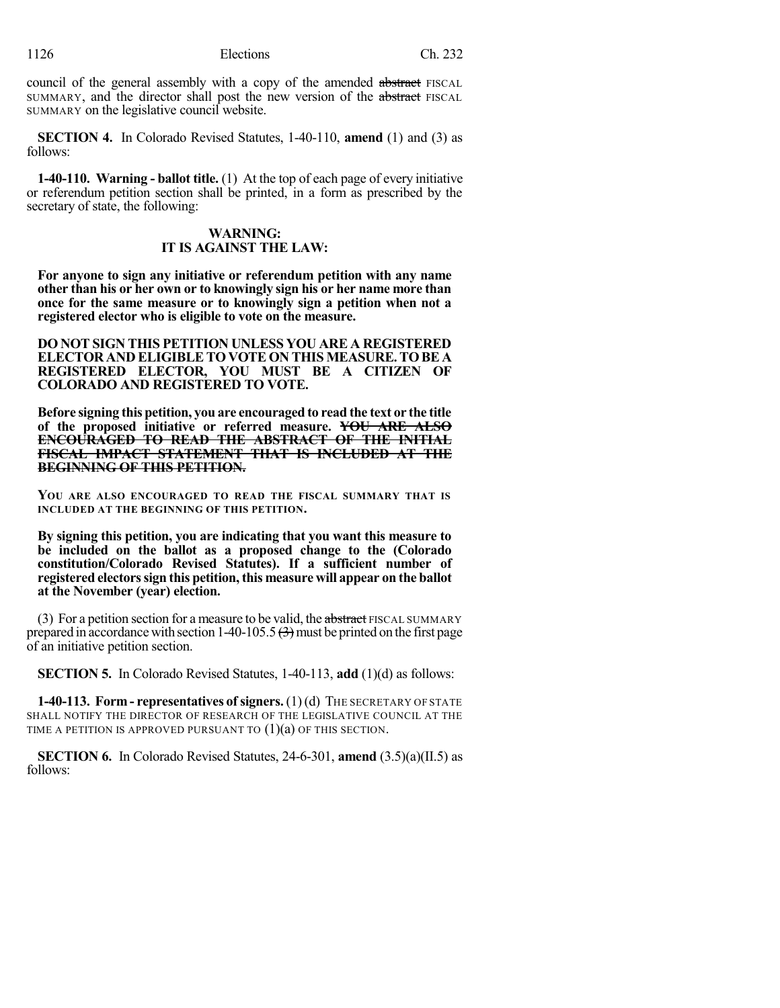council of the general assembly with a copy of the amended abstract FISCAL SUMMARY, and the director shall post the new version of the abstract FISCAL SUMMARY on the legislative council website.

**SECTION 4.** In Colorado Revised Statutes, 1-40-110, **amend** (1) and (3) as follows:

**1-40-110. Warning - ballot title.** (1) At the top of each page of every initiative or referendum petition section shall be printed, in a form as prescribed by the secretary of state, the following:

### **WARNING: IT IS AGAINST THE LAW:**

**For anyone to sign any initiative or referendum petition with any name other than his or her own or to knowingly sign his or her name more than once for the same measure or to knowingly sign a petition when not a registered elector who is eligible to vote on the measure.**

**DO NOT SIGN THIS PETITION UNLESS YOU ARE A REGISTERED ELECTOR AND ELIGIBLETOVOTE ON THIS MEASURE.TOBE A REGISTERED ELECTOR, YOU MUST BE A CITIZEN OF COLORADO AND REGISTERED TO VOTE.**

**Before signing this petition, you are encouraged to read the text or the title of the proposed initiative or referred measure. YOU ARE ALSO ENCOURAGED TO READ THE ABSTRACT OF THE INITIAL FISCAL IMPACT STATEMENT THAT IS INCLUDED AT THE BEGINNING OF THIS PETITION.**

**YOU ARE ALSO ENCOURAGED TO READ THE FISCAL SUMMARY THAT IS INCLUDED AT THE BEGINNING OF THIS PETITION.**

**By signing this petition, you are indicating that you want this measure to be included on the ballot as a proposed change to the (Colorado constitution/Colorado Revised Statutes). If a sufficient number of registered electorssign this petition,this measure will appear on the ballot at the November (year) election.**

(3) For a petition section for a measure to be valid, the abstract FISCAL SUMMARY prepared in accordance with section  $1-40-105.5 \left( \frac{1}{2} \right)$  must be printed on the first page of an initiative petition section.

**SECTION 5.** In Colorado Revised Statutes, 1-40-113, **add** (1)(d) as follows:

**1-40-113. Form - representatives of signers.** (1) (d) THE SECRETARY OF STATE SHALL NOTIFY THE DIRECTOR OF RESEARCH OF THE LEGISLATIVE COUNCIL AT THE TIME A PETITION IS APPROVED PURSUANT TO  $(1)(a)$  OF THIS SECTION.

**SECTION 6.** In Colorado Revised Statutes, 24-6-301, **amend** (3.5)(a)(II.5) as follows: